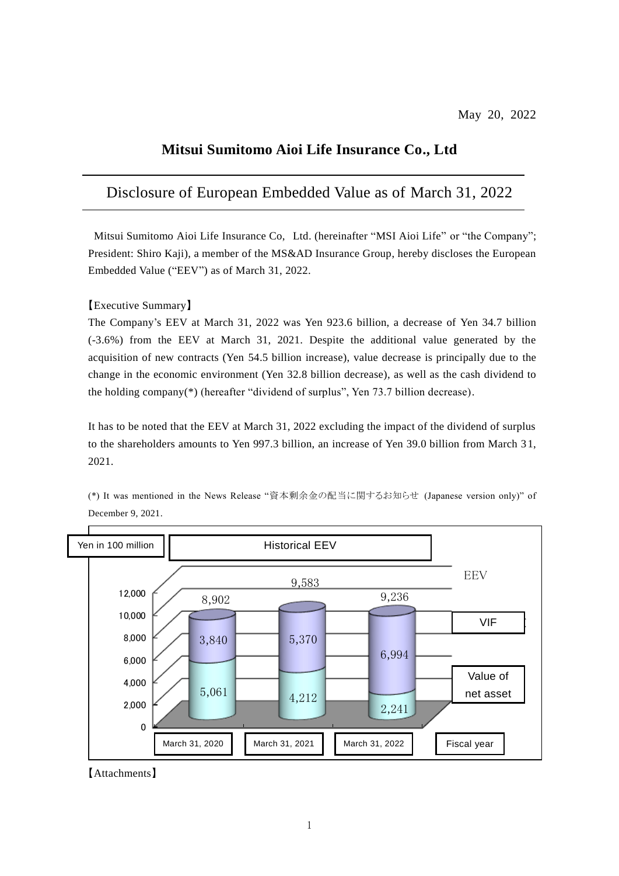# **Mitsui Sumitomo Aioi Life Insurance Co., Ltd**

# Disclosure of European Embedded Value as of March 31, 2022

Mitsui Sumitomo Aioi Life Insurance Co, Ltd. (hereinafter "MSI Aioi Life" or "the Company"; President: Shiro Kaji), a member of the MS&AD Insurance Group, hereby discloses the European Embedded Value ("EEV") as of March 31, 2022.

【Executive Summary】

The Company's EEV at March 31, 2022 was Yen 923.6 billion, a decrease of Yen 34.7 billion (-3.6%) from the EEV at March 31, 2021. Despite the additional value generated by the acquisition of new contracts (Yen 54.5 billion increase), value decrease is principally due to the change in the economic environment (Yen 32.8 billion decrease), as well as the cash dividend to the holding company(\*) (hereafter "dividend of surplus", Yen 73.7 billion decrease).

It has to be noted that the EEV at March 31, 2022 excluding the impact of the dividend of surplus to the shareholders amounts to Yen 997.3 billion, an increase of Yen 39.0 billion from March 3 1, 2021.

(\*) It was mentioned in the News Release "資本剰余金の配当に関するお知らせ (Japanese version only)" of December 9, 2021.



【Attachments】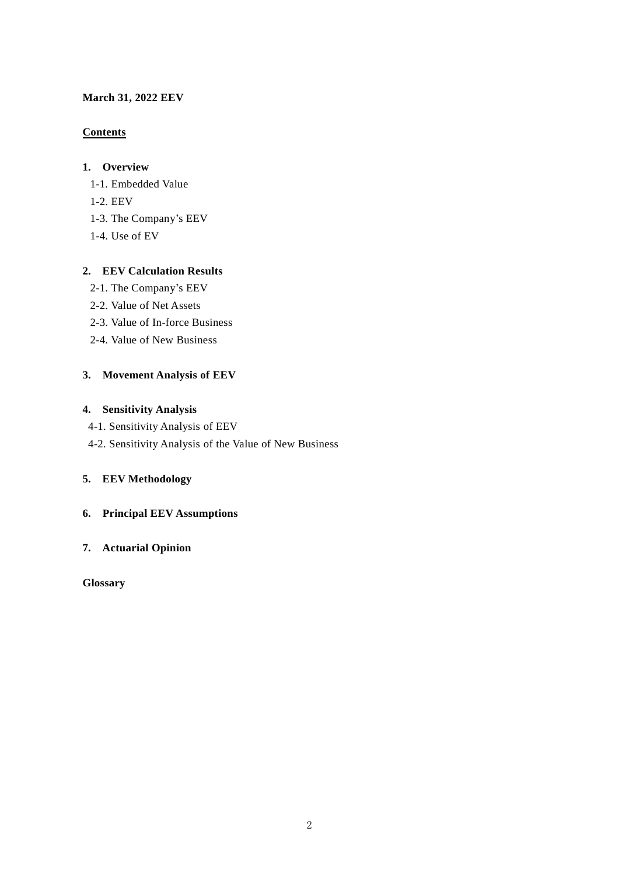# **March 31, 2022 EEV**

# **Contents**

# **1. Overview**

- 1-1. Embedded Value
- 1-2. EEV
- 1-3. The Company's EEV
- 1-4. Use of EV

# **2. EEV Calculation Results**

- 2-1. The Company's EEV
- 2-2. Value of Net Assets
- 2-3. Value of In-force Business
- 2-4. Value of New Business

# **3. Movement Analysis of EEV**

# **4. Sensitivity Analysis**

- 4-1. Sensitivity Analysis of EEV
- 4-2. Sensitivity Analysis of the Value of New Business

# **5. EEV Methodology**

# **6. Principal EEV Assumptions**

# **7. Actuarial Opinion**

**Glossary**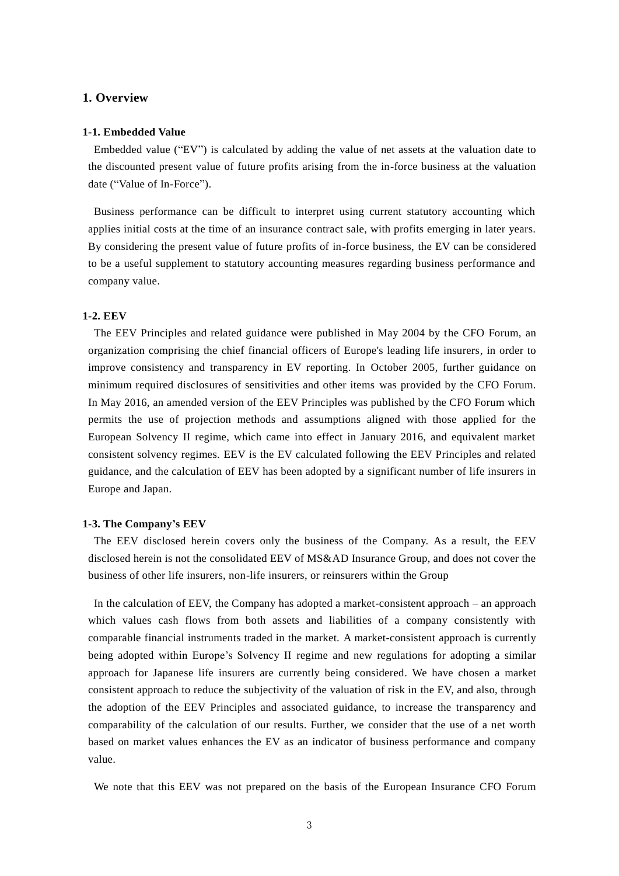# **1. Overview**

### **1-1. Embedded Value**

Embedded value ("EV") is calculated by adding the value of net assets at the valuation date to the discounted present value of future profits arising from the in-force business at the valuation date ("Value of In-Force").

Business performance can be difficult to interpret using current statutory accounting which applies initial costs at the time of an insurance contract sale, with profits emerging in later years. By considering the present value of future profits of in-force business, the EV can be considered to be a useful supplement to statutory accounting measures regarding business performance and company value.

### **1-2. EEV**

The EEV Principles and related guidance were published in May 2004 by the CFO Forum, an organization comprising the chief financial officers of Europe's leading life insurers, in order to improve consistency and transparency in EV reporting. In October 2005, further guidance on minimum required disclosures of sensitivities and other items was provided by the CFO Forum. In May 2016, an amended version of the EEV Principles was published by the CFO Forum which permits the use of projection methods and assumptions aligned with those applied for the European Solvency II regime, which came into effect in January 2016, and equivalent market consistent solvency regimes. EEV is the EV calculated following the EEV Principles and related guidance, and the calculation of EEV has been adopted by a significant number of life insurers in Europe and Japan.

#### **1-3. The Company's EEV**

The EEV disclosed herein covers only the business of the Company. As a result, the EEV disclosed herein is not the consolidated EEV of MS&AD Insurance Group, and does not cover the business of other life insurers, non-life insurers, or reinsurers within the Group

In the calculation of EEV, the Company has adopted a market-consistent approach – an approach which values cash flows from both assets and liabilities of a company consistently with comparable financial instruments traded in the market. A market-consistent approach is currently being adopted within Europe's Solvency II regime and new regulations for adopting a similar approach for Japanese life insurers are currently being considered. We have chosen a market consistent approach to reduce the subjectivity of the valuation of risk in the EV, and also, through the adoption of the EEV Principles and associated guidance, to increase the transparency and comparability of the calculation of our results. Further, we consider that the use of a net worth based on market values enhances the EV as an indicator of business performance and company value.

We note that this EEV was not prepared on the basis of the European Insurance CFO Forum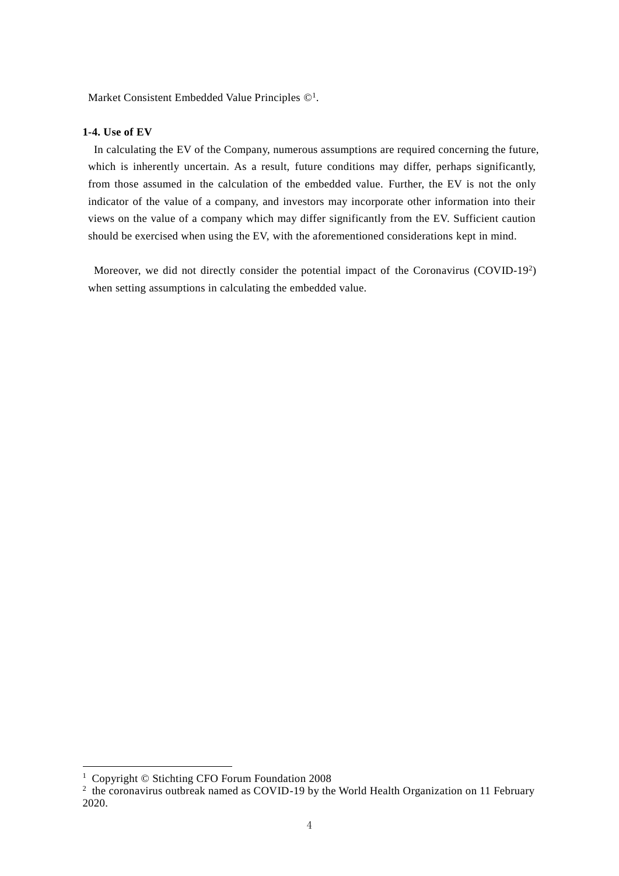Market Consistent Embedded Value Principles  $\mathbb{O}^1$ .

### **1-4. Use of EV**

In calculating the EV of the Company, numerous assumptions are required concerning the future, which is inherently uncertain. As a result, future conditions may differ, perhaps significantly, from those assumed in the calculation of the embedded value. Further, the EV is not the only indicator of the value of a company, and investors may incorporate other information into their views on the value of a company which may differ significantly from the EV. Sufficient caution should be exercised when using the EV, with the aforementioned considerations kept in mind.

Moreover, we did not directly consider the potential impact of the Coronavirus (COVID-19<sup>2</sup>) when setting assumptions in calculating the embedded value.

 $\overline{a}$ 

<sup>&</sup>lt;sup>1</sup> Copyright © Stichting CFO Forum Foundation 2008

 $2$  the coronavirus outbreak named as COVID-19 by the World Health Organization on 11 February 2020.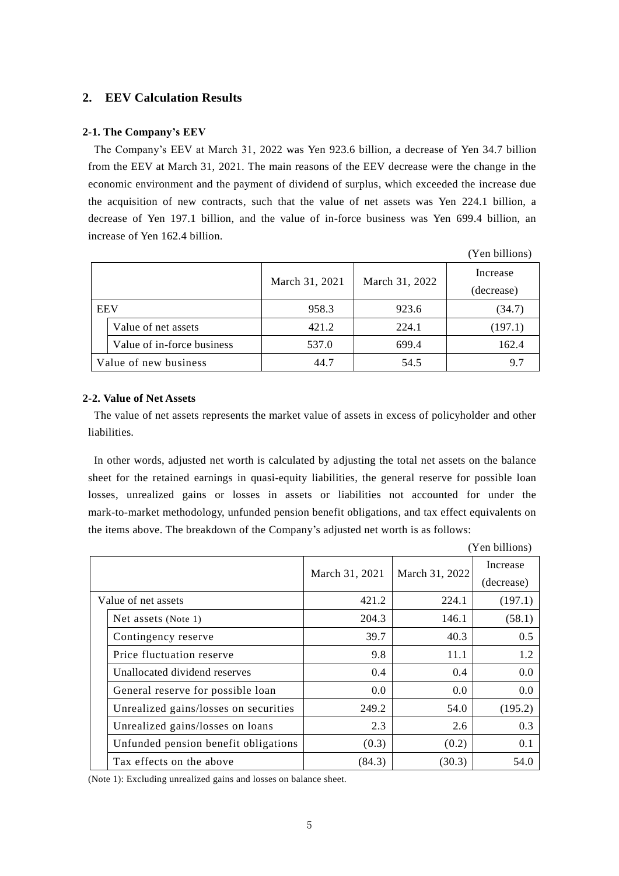# **2. EEV Calculation Results**

#### **2-1. The Company's EEV**

The Company's EEV at March 31, 2022 was Yen 923.6 billion, a decrease of Yen 34.7 billion from the EEV at March 31, 2021. The main reasons of the EEV decrease were the change in the economic environment and the payment of dividend of surplus, which exceeded the increase due the acquisition of new contracts, such that the value of net assets was Yen 224.1 billion, a decrease of Yen 197.1 billion, and the value of in-force business was Yen 699.4 billion, an increase of Yen 162.4 billion.

|                       |                            |                |                | (Yen billions)         |
|-----------------------|----------------------------|----------------|----------------|------------------------|
|                       |                            | March 31, 2021 | March 31, 2022 | Increase<br>(decrease) |
| <b>EEV</b>            |                            | 958.3          | 923.6          | (34.7)                 |
|                       | Value of net assets        | 421.2          | 224.1          | (197.1)                |
|                       | Value of in-force business | 537.0          | 699.4          | 162.4                  |
| Value of new business |                            | 44.7           | 54.5           | 9.7                    |

#### **2-2. Value of Net Assets**

The value of net assets represents the market value of assets in excess of policyholder and other liabilities.

In other words, adjusted net worth is calculated by adjusting the total net assets on the balance sheet for the retained earnings in quasi-equity liabilities, the general reserve for possible loan losses, unrealized gains or losses in assets or liabilities not accounted for under the mark-to-market methodology, unfunded pension benefit obligations, and tax effect equivalents on the items above. The breakdown of the Company's adjusted net worth is as follows:

(Yen billions) March 31, 2021 | March 31, 2022 Increase (decrease) Value of net assets  $421.2$   $224.1$   $(197.1)$ Net assets (Note 1) 204.3 146.1 (58.1) Contingency reserve  $\vert$  39.7  $\vert$  40.3  $\vert$  0.5 Price fluctuation reserve  $\begin{array}{ccc} | & 9.8 & 11.1 & 1.2 \end{array}$ Unallocated dividend reserves  $\begin{array}{|c|c|c|c|c|c|c|c|c|} \hline 0.4 & 0.4 & 0.0 \\ \hline \end{array}$ General reserve for possible loan Unrealized gains/losses on securities  $\begin{vmatrix} 249.2 & 54.0 & 195.2 \end{vmatrix}$  $0.0$  0.0 0.0 Unrealized gains/losses on loans  $\begin{array}{|c|c|c|c|c|c|c|c|c|} \hline 2.6 & 2.6 & 0.3 \\ \hline \end{array}$ Unfunded pension benefit obligations  $(0.3)$   $(0.2)$   $(0.2)$   $(0.1)$ Tax effects on the above  $(84.3)$   $(30.3)$   $54.0$ 

(Note 1): Excluding unrealized gains and losses on balance sheet.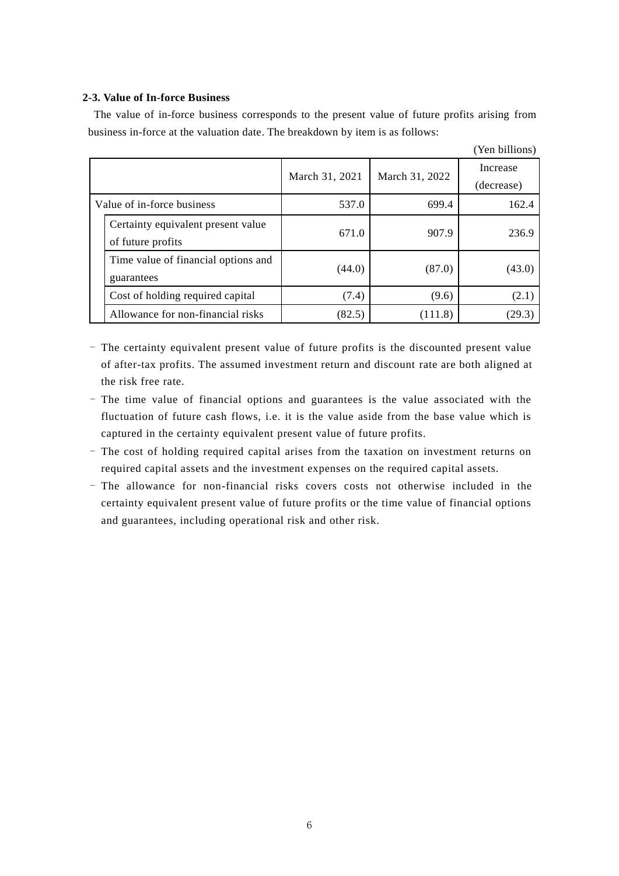# **2-3. Value of In-force Business**

The value of in-force business corresponds to the present value of future profits arising from business in-force at the valuation date. The breakdown by item is as follows:

 $(x - \epsilon)$ 

|                            |                                                         |                |                | ren billions)          |
|----------------------------|---------------------------------------------------------|----------------|----------------|------------------------|
|                            |                                                         | March 31, 2021 | March 31, 2022 | Increase<br>(decrease) |
| Value of in-force business |                                                         | 537.0          | 699.4          | 162.4                  |
|                            | Certainty equivalent present value<br>of future profits | 671.0          | 907.9          | 236.9                  |
|                            | Time value of financial options and<br>guarantees       | (44.0)         | (87.0)         | (43.0)                 |
|                            | Cost of holding required capital                        | (7.4)          | (9.6)          | (2.1)                  |
|                            | Allowance for non-financial risks                       | (82.5)         | (111.8)        | (29.3)                 |

- The certainty equivalent present value of future profits is the discounted present value of after-tax profits. The assumed investment return and discount rate are both aligned at the risk free rate.

- The time value of financial options and guarantees is the value associated with the fluctuation of future cash flows, i.e. it is the value aside from the base value which is captured in the certainty equivalent present value of future profits.
- The cost of holding required capital arises from the taxation on investment returns on required capital assets and the investment expenses on the required capital assets.
- The allowance for non-financial risks covers costs not otherwise included in the certainty equivalent present value of future profits or the time value of financial options and guarantees, including operational risk and other risk.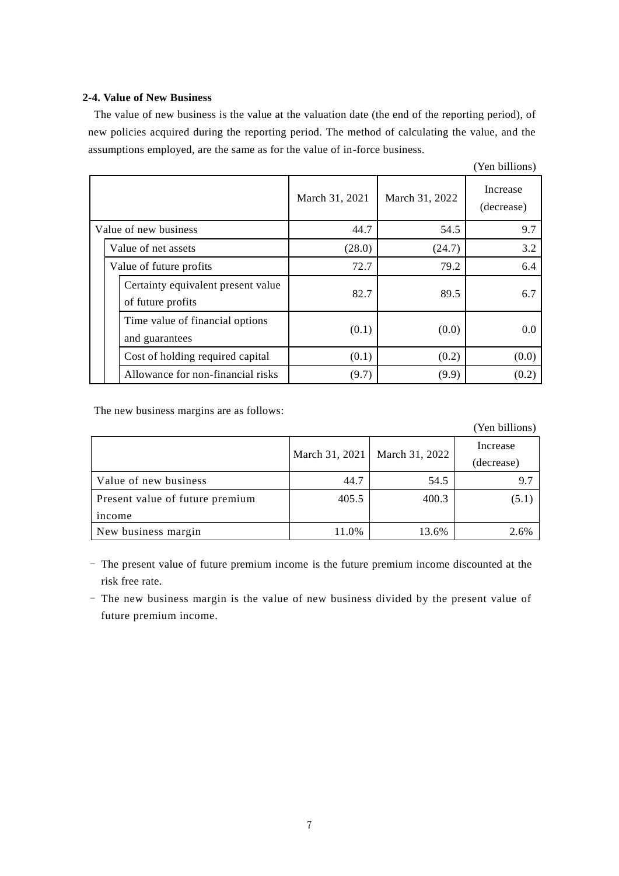# **2-4. Value of New Business**

The value of new business is the value at the valuation date (the end of the reporting period), of new policies acquired during the reporting period. The method of calculating the value, and the assumptions employed, are the same as for the value of in-force business.

|                       |                         |                                                         |                |                | (Yen billions)         |
|-----------------------|-------------------------|---------------------------------------------------------|----------------|----------------|------------------------|
|                       |                         |                                                         | March 31, 2021 | March 31, 2022 | Increase<br>(decrease) |
| Value of new business |                         |                                                         | 44.7           | 54.5           | 9.7                    |
|                       |                         | Value of net assets                                     | (28.0)         | (24.7)         | 3.2                    |
|                       | Value of future profits |                                                         | 72.7           | 79.2           | 6.4                    |
|                       |                         | Certainty equivalent present value<br>of future profits | 82.7           | 89.5           | 6.7                    |
|                       |                         | Time value of financial options<br>and guarantees       | (0.1)          | (0.0)          | 0.0                    |
|                       |                         | Cost of holding required capital                        | (0.1)          | (0.2)          | (0.0)                  |
|                       |                         | Allowance for non-financial risks                       | (9.7)          | (9.9)          | (0.2)                  |

The new business margins are as follows:

|                                 |                |                | (Yen billions) |
|---------------------------------|----------------|----------------|----------------|
|                                 | March 31, 2021 | March 31, 2022 |                |
|                                 |                |                | (decrease)     |
| Value of new business           | 44.7           | 54.5           | 9.7            |
| Present value of future premium | 405.5          | 400.3          | (5.1)          |
| income                          |                |                |                |
| New business margin             | 11.0%          | 13.6%          | 2.6%           |

- The present value of future premium income is the future premium income discounted at the risk free rate.

- The new business margin is the value of new business divided by the present value of future premium income.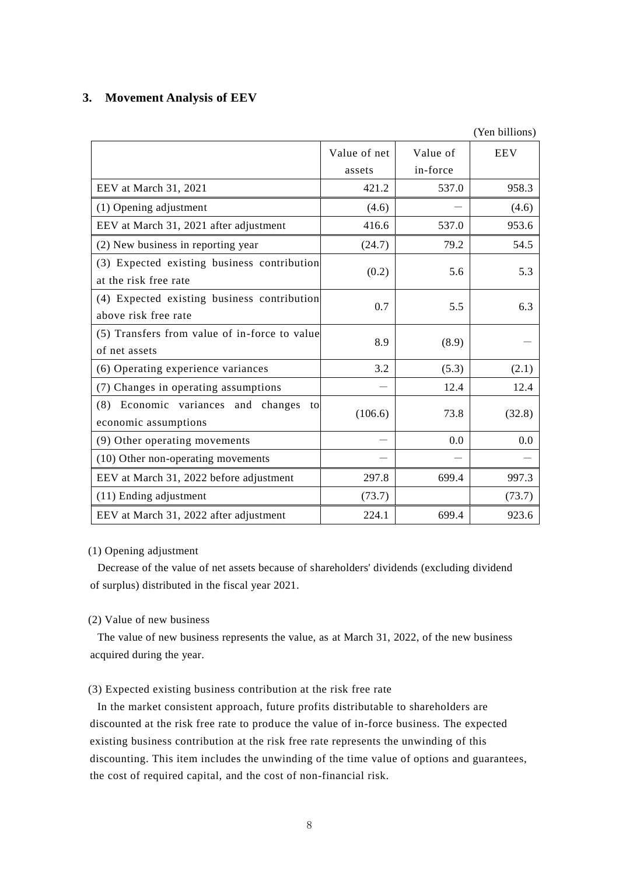# **3. Movement Analysis of EEV**

|                                                                      |              |          | (Yen billions) |
|----------------------------------------------------------------------|--------------|----------|----------------|
|                                                                      | Value of net | Value of | <b>EEV</b>     |
|                                                                      | assets       | in-force |                |
| EEV at March 31, 2021                                                | 421.2        | 537.0    | 958.3          |
| (1) Opening adjustment                                               | (4.6)        |          | (4.6)          |
| EEV at March 31, 2021 after adjustment                               | 416.6        | 537.0    | 953.6          |
| (2) New business in reporting year                                   | (24.7)       | 79.2     | 54.5           |
| (3) Expected existing business contribution<br>at the risk free rate | (0.2)        | 5.6      | 5.3            |
| (4) Expected existing business contribution<br>above risk free rate  | 0.7          | 5.5      | 6.3            |
| (5) Transfers from value of in-force to value<br>of net assets       | 8.9          | (8.9)    |                |
| (6) Operating experience variances                                   | 3.2          | (5.3)    | (2.1)          |
| (7) Changes in operating assumptions                                 |              | 12.4     | 12.4           |
| (8) Economic variances and changes<br>to<br>economic assumptions     | (106.6)      | 73.8     | (32.8)         |
| (9) Other operating movements                                        |              | 0.0      | 0.0            |
| (10) Other non-operating movements                                   |              |          |                |
| EEV at March 31, 2022 before adjustment                              | 297.8        | 699.4    | 997.3          |
| (11) Ending adjustment                                               | (73.7)       |          | (73.7)         |
| EEV at March 31, 2022 after adjustment                               | 224.1        | 699.4    | 923.6          |

#### (1) Opening adjustment

Decrease of the value of net assets because of shareholders' dividends (excluding dividend of surplus) distributed in the fiscal year 2021.

# (2) Value of new business

The value of new business represents the value, as at March 31, 2022, of the new business acquired during the year.

# (3) Expected existing business contribution at the risk free rate

In the market consistent approach, future profits distributable to shareholders are discounted at the risk free rate to produce the value of in-force business. The expected existing business contribution at the risk free rate represents the unwinding of this discounting. This item includes the unwinding of the time value of options and guarantees, the cost of required capital, and the cost of non-financial risk.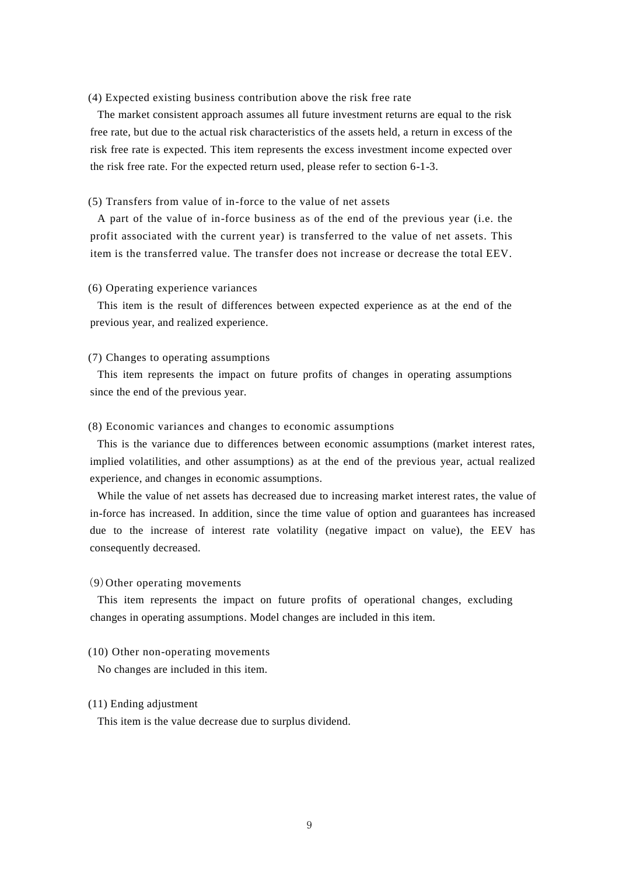#### (4) Expected existing business contribution above the risk free rate

The market consistent approach assumes all future investment returns are equal to the risk free rate, but due to the actual risk characteristics of the assets held, a return in excess of the risk free rate is expected. This item represents the excess investment income expected over the risk free rate. For the expected return used, please refer to section 6-1-3.

#### (5) Transfers from value of in-force to the value of net assets

A part of the value of in-force business as of the end of the previous year (i.e. the profit associated with the current year) is transferred to the value of net assets. This item is the transferred value. The transfer does not increase or decrease the total EEV.

#### (6) Operating experience variances

This item is the result of differences between expected experience as at the end of the previous year, and realized experience.

#### (7) Changes to operating assumptions

This item represents the impact on future profits of changes in operating assumptions since the end of the previous year.

#### (8) Economic variances and changes to economic assumptions

This is the variance due to differences between economic assumptions (market interest rates, implied volatilities, and other assumptions) as at the end of the previous year, actual realized experience, and changes in economic assumptions.

While the value of net assets has decreased due to increasing market interest rates, the value of in-force has increased. In addition, since the time value of option and guarantees has increased due to the increase of interest rate volatility (negative impact on value), the EEV has consequently decreased.

#### (9)Other operating movements

This item represents the impact on future profits of operational changes, excluding changes in operating assumptions. Model changes are included in this item.

#### (10) Other non-operating movements

No changes are included in this item.

#### (11) Ending adjustment

This item is the value decrease due to surplus dividend.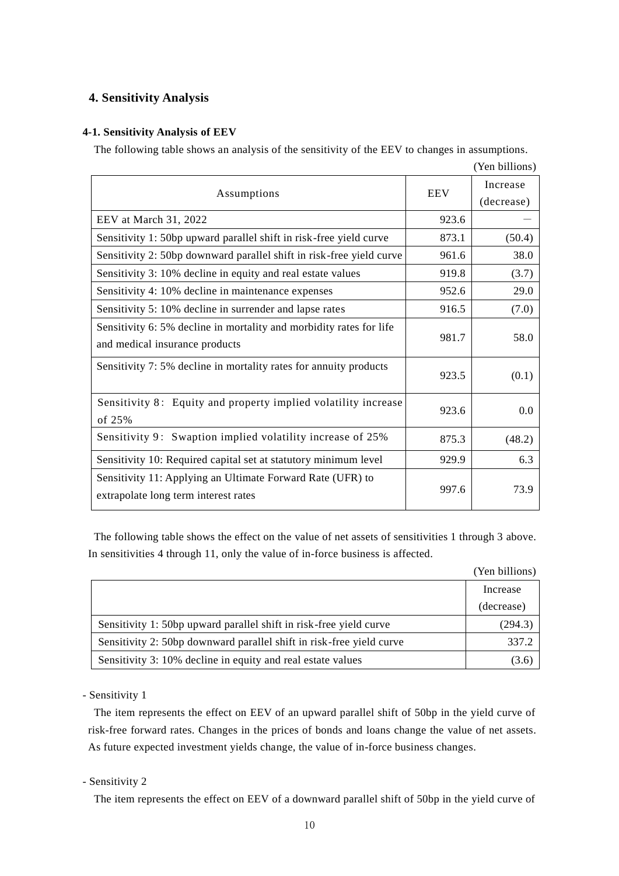# **4. Sensitivity Analysis**

# **4-1. Sensitivity Analysis of EEV**

The following table shows an analysis of the sensitivity of the EEV to changes in assumptions.

|                                                                      |            | (Yen billions) |
|----------------------------------------------------------------------|------------|----------------|
| Assumptions                                                          | <b>EEV</b> | Increase       |
|                                                                      |            | (decrease)     |
| EEV at March 31, 2022                                                | 923.6      |                |
| Sensitivity 1: 50bp upward parallel shift in risk-free yield curve   | 873.1      | (50.4)         |
| Sensitivity 2: 50bp downward parallel shift in risk-free yield curve | 961.6      | 38.0           |
| Sensitivity 3: 10% decline in equity and real estate values          | 919.8      | (3.7)          |
| Sensitivity 4: 10% decline in maintenance expenses                   | 952.6      | 29.0           |
| Sensitivity 5: 10% decline in surrender and lapse rates              | 916.5      | (7.0)          |
| Sensitivity 6: 5% decline in mortality and morbidity rates for life  | 981.7      | 58.0           |
| and medical insurance products                                       |            |                |
| Sensitivity 7: 5% decline in mortality rates for annuity products    | 923.5      | (0.1)          |
|                                                                      |            |                |
| Sensitivity 8: Equity and property implied volatility increase       | 923.6      | 0.0            |
| of 25%                                                               |            |                |
| Sensitivity 9: Swaption implied volatility increase of 25%           | 875.3      | (48.2)         |
| Sensitivity 10: Required capital set at statutory minimum level      | 929.9      | 6.3            |
| Sensitivity 11: Applying an Ultimate Forward Rate (UFR) to           |            |                |
| extrapolate long term interest rates                                 | 997.6      | 73.9           |
|                                                                      |            |                |

The following table shows the effect on the value of net assets of sensitivities 1 through 3 above. In sensitivities 4 through 11, only the value of in-force business is affected.

|                                                                      | (Yen billions) |
|----------------------------------------------------------------------|----------------|
|                                                                      | Increase       |
|                                                                      | (decrease)     |
| Sensitivity 1: 50bp upward parallel shift in risk-free yield curve   | (294.3)        |
| Sensitivity 2: 50bp downward parallel shift in risk-free yield curve | 337.2          |
| Sensitivity 3: 10% decline in equity and real estate values          | (3.6)          |

- Sensitivity 1

The item represents the effect on EEV of an upward parallel shift of 50bp in the yield curve of risk-free forward rates. Changes in the prices of bonds and loans change the value of net assets. As future expected investment yields change, the value of in-force business changes.

- Sensitivity 2

The item represents the effect on EEV of a downward parallel shift of 50bp in the yield curve of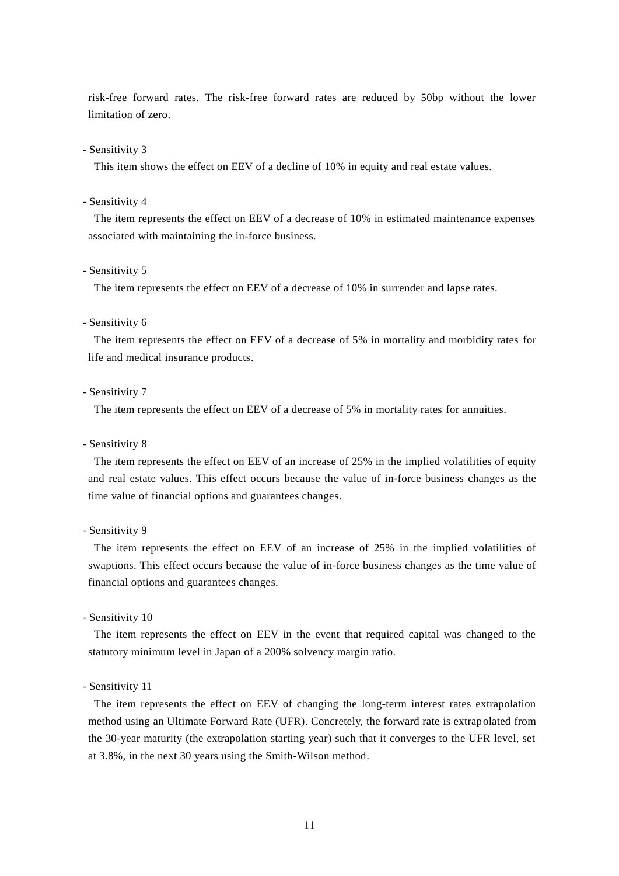risk-free forward rates. The risk-free forward rates are reduced by 50bp without the lower limitation of zero.

#### - Sensitivity 3

This item shows the effect on EEV of a decline of 10% in equity and real estate values.

- Sensitivity 4

The item represents the effect on EEV of a decrease of 10% in estimated maintenance expenses associated with maintaining the in-force business.

#### - Sensitivity 5

The item represents the effect on EEV of a decrease of 10% in surrender and lapse rates.

#### - Sensitivity 6

The item represents the effect on EEV of a decrease of 5% in mortality and morbidity rates for life and medical insurance products.

# - Sensitivity 7

The item represents the effect on EEV of a decrease of 5% in mortality rates for annuities.

#### - Sensitivity 8

The item represents the effect on EEV of an increase of 25% in the implied volatilities of equity and real estate values. This effect occurs because the value of in-force business changes as the time value of financial options and guarantees changes.

- Sensitivity 9

The item represents the effect on EEV of an increase of 25% in the implied volatilities of swaptions. This effect occurs because the value of in-force business changes as the time value of financial options and guarantees changes.

- Sensitivity 10

The item represents the effect on EEV in the event that required capital was changed to the statutory minimum level in Japan of a 200% solvency margin ratio.

- Sensitivity 11

The item represents the effect on EEV of changing the long-term interest rates extrapolation method using an Ultimate Forward Rate (UFR). Concretely, the forward rate is extrapolated from the 30-year maturity (the extrapolation starting year) such that it converges to the UFR level, set at 3.8%, in the next 30 years using the Smith-Wilson method.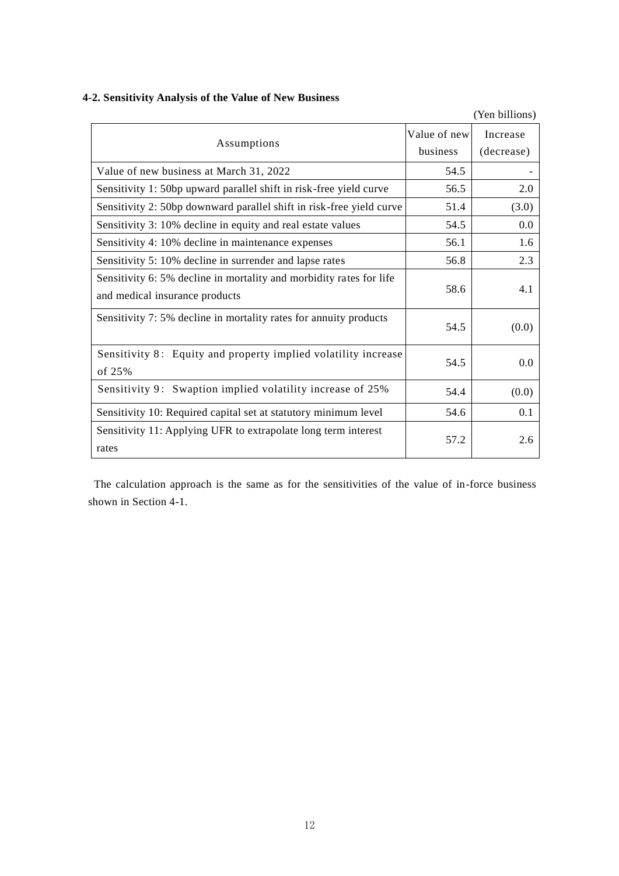# **4-2. Sensitivity Analysis of the Value of New Business**

|                                                                                                       |              | (Yen billions) |
|-------------------------------------------------------------------------------------------------------|--------------|----------------|
|                                                                                                       | Value of new | Increase       |
| Assumptions                                                                                           | business     | (decrease)     |
| Value of new business at March 31, 2022                                                               | 54.5         |                |
| Sensitivity 1: 50bp upward parallel shift in risk-free yield curve                                    | 56.5         | 2.0            |
| Sensitivity 2: 50bp downward parallel shift in risk-free yield curve                                  | 51.4         | (3.0)          |
| Sensitivity 3: 10% decline in equity and real estate values                                           | 54.5         | 0.0            |
| Sensitivity 4: 10% decline in maintenance expenses                                                    | 56.1         | 1.6            |
| Sensitivity 5: 10% decline in surrender and lapse rates                                               | 56.8         | 2.3            |
| Sensitivity 6: 5% decline in mortality and morbidity rates for life<br>and medical insurance products | 58.6         | 4.1            |
|                                                                                                       |              |                |
| Sensitivity 7: 5% decline in mortality rates for annuity products                                     | 54.5         | (0.0)          |
| Sensitivity 8: Equity and property implied volatility increase<br>of 25%                              | 54.5         | 0.0            |
| Sensitivity 9: Swaption implied volatility increase of 25%                                            | 54.4         | (0.0)          |
| Sensitivity 10: Required capital set at statutory minimum level                                       | 54.6         | 0.1            |
| Sensitivity 11: Applying UFR to extrapolate long term interest<br>rates                               | 57.2         | 2.6            |

The calculation approach is the same as for the sensitivities of the value of in-force business shown in Section 4-1.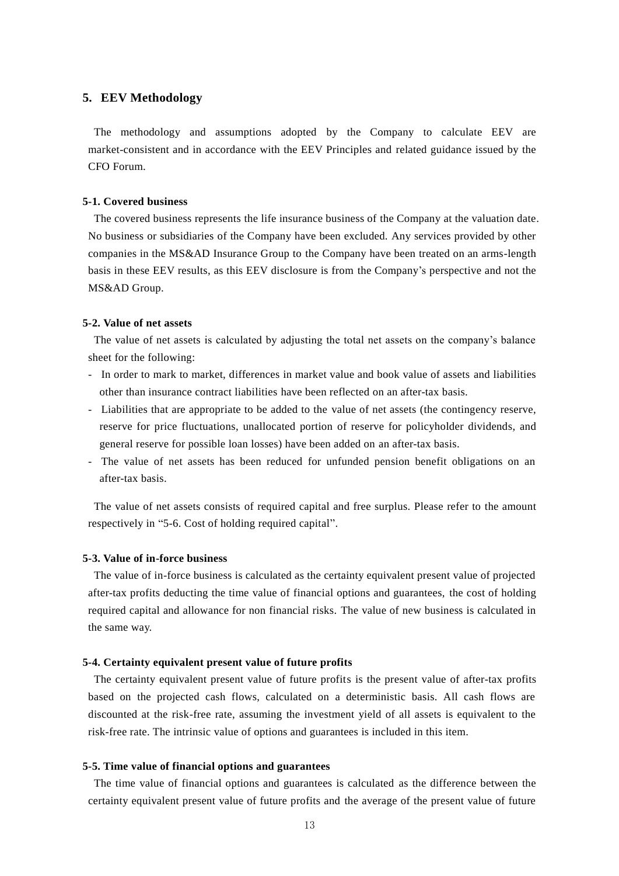## **5. EEV Methodology**

The methodology and assumptions adopted by the Company to calculate EEV are market-consistent and in accordance with the EEV Principles and related guidance issued by the CFO Forum.

#### **5-1. Covered business**

The covered business represents the life insurance business of the Company at the valuation date. No business or subsidiaries of the Company have been excluded. Any services provided by other companies in the MS&AD Insurance Group to the Company have been treated on an arms-length basis in these EEV results, as this EEV disclosure is from the Company's perspective and not the MS&AD Group.

#### **5-2. Value of net assets**

The value of net assets is calculated by adjusting the total net assets on the company's balance sheet for the following:

- In order to mark to market, differences in market value and book value of assets and liabilities other than insurance contract liabilities have been reflected on an after-tax basis.
- Liabilities that are appropriate to be added to the value of net assets (the contingency reserve, reserve for price fluctuations, unallocated portion of reserve for policyholder dividends, and general reserve for possible loan losses) have been added on an after-tax basis.
- The value of net assets has been reduced for unfunded pension benefit obligations on an after-tax basis.

The value of net assets consists of required capital and free surplus. Please refer to the amount respectively in "5-6. Cost of holding required capital".

#### **5-3. Value of in-force business**

The value of in-force business is calculated as the certainty equivalent present value of projected after-tax profits deducting the time value of financial options and guarantees, the cost of holding required capital and allowance for non financial risks. The value of new business is calculated in the same way.

#### **5-4. Certainty equivalent present value of future profits**

The certainty equivalent present value of future profits is the present value of after-tax profits based on the projected cash flows, calculated on a deterministic basis. All cash flows are discounted at the risk-free rate, assuming the investment yield of all assets is equivalent to the risk-free rate. The intrinsic value of options and guarantees is included in this item.

#### **5-5. Time value of financial options and guarantees**

The time value of financial options and guarantees is calculated as the difference between the certainty equivalent present value of future profits and the average of the present value of future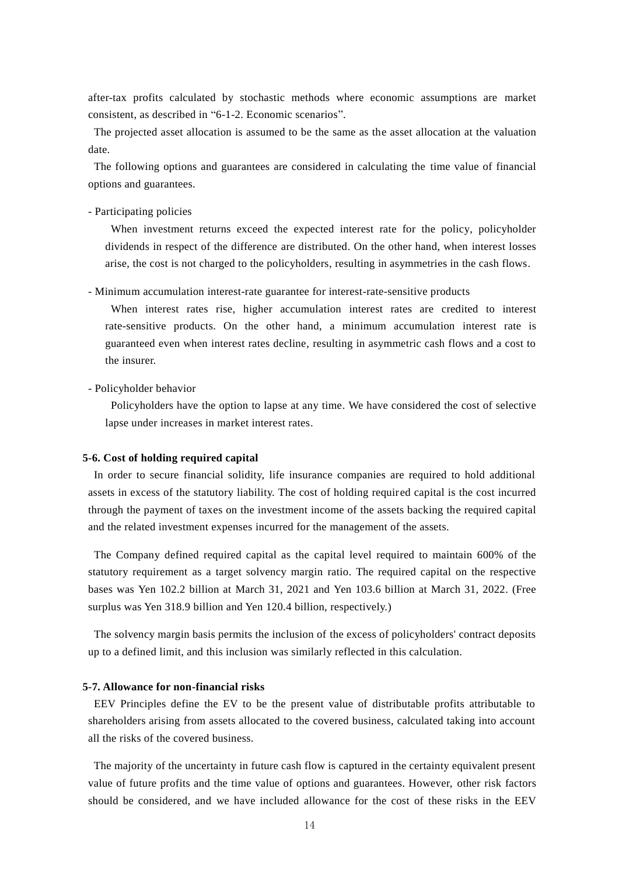after-tax profits calculated by stochastic methods where economic assumptions are market consistent, as described in "6-1-2. Economic scenarios".

The projected asset allocation is assumed to be the same as the asset allocation at the valuation date.

The following options and guarantees are considered in calculating the time value of financial options and guarantees.

- Participating policies

When investment returns exceed the expected interest rate for the policy, policyholder dividends in respect of the difference are distributed. On the other hand, when interest losses arise, the cost is not charged to the policyholders, resulting in asymmetries in the cash flows.

- Minimum accumulation interest-rate guarantee for interest-rate-sensitive products

When interest rates rise, higher accumulation interest rates are credited to interest rate-sensitive products. On the other hand, a minimum accumulation interest rate is guaranteed even when interest rates decline, resulting in asymmetric cash flows and a cost to the insurer.

- Policyholder behavior

Policyholders have the option to lapse at any time. We have considered the cost of selective lapse under increases in market interest rates.

#### **5-6. Cost of holding required capital**

In order to secure financial solidity, life insurance companies are required to hold additional assets in excess of the statutory liability. The cost of holding required capital is the cost incurred through the payment of taxes on the investment income of the assets backing the required capital and the related investment expenses incurred for the management of the assets.

The Company defined required capital as the capital level required to maintain 600% of the statutory requirement as a target solvency margin ratio. The required capital on the respective bases was Yen 102.2 billion at March 31, 2021 and Yen 103.6 billion at March 31, 2022. (Free surplus was Yen 318.9 billion and Yen 120.4 billion, respectively.)

The solvency margin basis permits the inclusion of the excess of policyholders' contract deposits up to a defined limit, and this inclusion was similarly reflected in this calculation.

#### **5-7. Allowance for non-financial risks**

EEV Principles define the EV to be the present value of distributable profits attributable to shareholders arising from assets allocated to the covered business, calculated taking into account all the risks of the covered business.

The majority of the uncertainty in future cash flow is captured in the certainty equivalent present value of future profits and the time value of options and guarantees. However, other risk factors should be considered, and we have included allowance for the cost of these risks in the EEV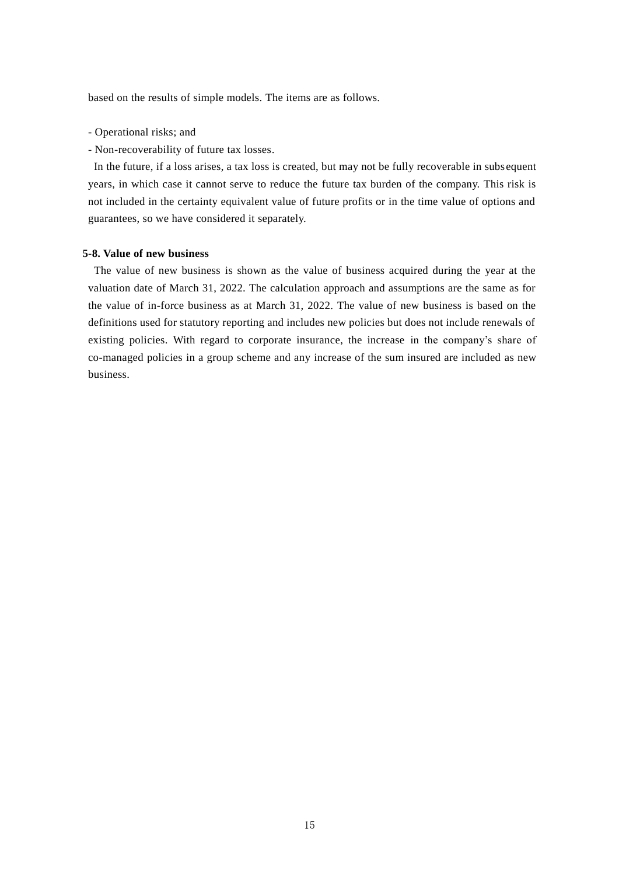based on the results of simple models. The items are as follows.

- Operational risks; and
- Non-recoverability of future tax losses.

In the future, if a loss arises, a tax loss is created, but may not be fully recoverable in subs equent years, in which case it cannot serve to reduce the future tax burden of the company. This risk is not included in the certainty equivalent value of future profits or in the time value of options and guarantees, so we have considered it separately.

#### **5-8. Value of new business**

The value of new business is shown as the value of business acquired during the year at the valuation date of March 31, 2022. The calculation approach and assumptions are the same as for the value of in-force business as at March 31, 2022. The value of new business is based on the definitions used for statutory reporting and includes new policies but does not include renewals of existing policies. With regard to corporate insurance, the increase in the company's share of co-managed policies in a group scheme and any increase of the sum insured are included as new business.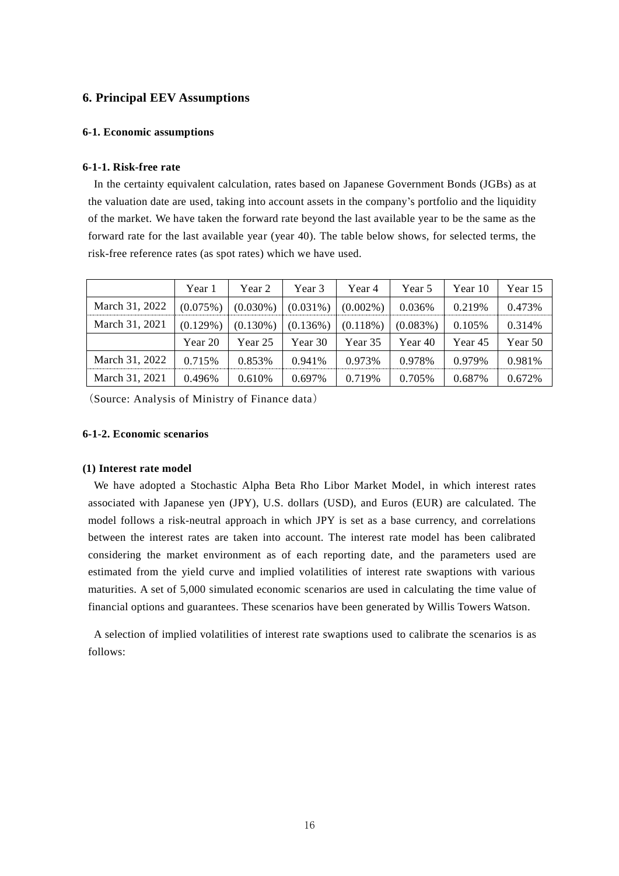# **6. Principal EEV Assumptions**

### **6-1. Economic assumptions**

## **6-1-1. Risk-free rate**

In the certainty equivalent calculation, rates based on Japanese Government Bonds (JGBs) as at the valuation date are used, taking into account assets in the company's portfolio and the liquidity of the market. We have taken the forward rate beyond the last available year to be the same as the forward rate for the last available year (year 40). The table below shows, for selected terms, the risk-free reference rates (as spot rates) which we have used.

|                | Year 1   | Year 2      | Year 3      | Year 4      | Year 5      | Year 10 | Year 15 |
|----------------|----------|-------------|-------------|-------------|-------------|---------|---------|
| March 31, 2022 | (0.075%) | $(0.030\%)$ | $(0.031\%)$ | $(0.002\%)$ | 0.036%      | 0.219%  | 0.473%  |
| March 31, 2021 | (0.129%) | $(0.130\%)$ | (0.136%)    | $(0.118\%)$ | $(0.083\%)$ | 0.105%  | 0.314\% |
|                | Year 20  | Year 25     | Year 30     | Year 35     | Year 40     | Year 45 | Year 50 |
| March 31, 2022 | 0.715\%  | 0.853%      | 0.941%      | 0.973%      | 0.978%      | 0.979%  | 0.981%  |
| March 31, 2021 | 0.496%   | 0.610\%     | 0.697%      | 0.719%      | 0.705%      | 0.687%  | 0.672%  |

(Source: Analysis of Ministry of Finance data)

## **6-1-2. Economic scenarios**

#### **(1) Interest rate model**

We have adopted a Stochastic Alpha Beta Rho Libor Market Model, in which interest rates associated with Japanese yen (JPY), U.S. dollars (USD), and Euros (EUR) are calculated. The model follows a risk-neutral approach in which JPY is set as a base currency, and correlations between the interest rates are taken into account. The interest rate model has been calibrated considering the market environment as of each reporting date, and the parameters used are estimated from the yield curve and implied volatilities of interest rate swaptions with various maturities. A set of 5,000 simulated economic scenarios are used in calculating the time value of financial options and guarantees. These scenarios have been generated by Willis Towers Watson.

A selection of implied volatilities of interest rate swaptions used to calibrate the scenarios is as follows: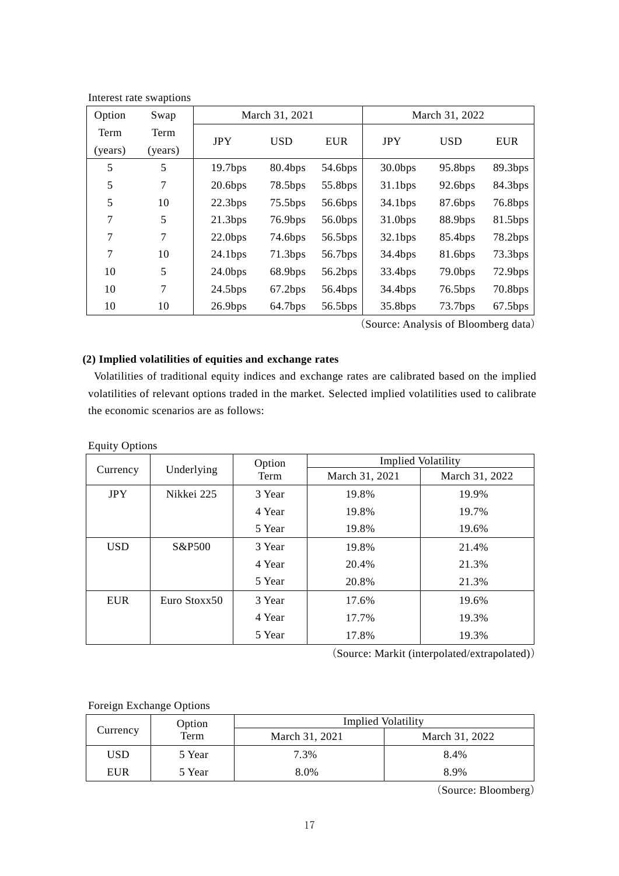| Option  | Swap    | March 31, 2021      |                     |            |            | March 31, 2022      |            |
|---------|---------|---------------------|---------------------|------------|------------|---------------------|------------|
| Term    | Term    | <b>JPY</b>          | <b>USD</b>          | <b>EUR</b> | <b>JPY</b> | <b>USD</b>          | <b>EUR</b> |
| (years) | (years) |                     |                     |            |            |                     |            |
| 5       | 5       | 19.7bps             | 80.4bps             | 54.6bps    | $30.0$ bps | 95.8bps             | 89.3bps    |
| 5       | 7       | $20.6$ bps          | 78.5bps             | 55.8bps    | 31.1bps    | 92.6bps             | 84.3bps    |
| 5       | 10      | 22.3bps             | 75.5bps             | 56.6bps    | 34.1bps    | 87.6bps             | 76.8bps    |
| 7       | 5       | 21.3bps             | 76.9bps             | 56.0bps    | 31.0bps    | 88.9bps             | 81.5bps    |
| 7       | $\tau$  | $22.0$ bps          | 74.6 <sub>bps</sub> | 56.5bps    | 32.1bps    | 85.4bps             | 78.2bps    |
| 7       | 10      | 24.1 <sub>bps</sub> | 71.3 <sub>bps</sub> | 56.7bps    | 34.4bps    | 81.6bps             | 73.3bps    |
| 10      | 5       | $24.0$ bps          | 68.9bps             | 56.2bps    | 33.4bps    | 79.0 <sub>bps</sub> | 72.9bps    |
| 10      | $\tau$  | 24.5bps             | 67.2bps             | 56.4bps    | 34.4bps    | 76.5bps             | 70.8bps    |
| 10      | 10      | 26.9bps             | 64.7bps             | 56.5bps    | 35.8bps    | 73.7bps             | $67.5$ bps |

Interest rate swaptions

(Source: Analysis of Bloomberg data)

# **(2) Implied volatilities of equities and exchange rates**

Volatilities of traditional equity indices and exchange rates are calibrated based on the implied volatilities of relevant options traded in the market. Selected implied volatilities used to calibrate the economic scenarios are as follows:

# Equity Options

|            |                                | Option | <b>Implied Volatility</b> |                |  |
|------------|--------------------------------|--------|---------------------------|----------------|--|
|            | Underlying<br>Currency<br>Term |        | March 31, 2021            | March 31, 2022 |  |
| <b>JPY</b> | Nikkei 225                     | 3 Year | 19.8%                     | 19.9%          |  |
|            |                                | 4 Year | 19.8%                     | 19.7%          |  |
|            |                                | 5 Year | 19.8%                     | 19.6%          |  |
| <b>USD</b> | S&P500                         | 3 Year | 19.8%                     | 21.4%          |  |
|            |                                | 4 Year | 20.4%                     | 21.3%          |  |
|            |                                | 5 Year | 20.8%                     | 21.3%          |  |
| <b>EUR</b> | Euro Stoxx50                   | 3 Year | 17.6%                     | 19.6%          |  |
|            |                                | 4 Year | 17.7%                     | 19.3%          |  |
|            |                                | 5 Year | 17.8%                     | 19.3%          |  |

(Source: Markit (interpolated/extrapolated))

# Foreign Exchange Options

|            | Option | <b>Implied Volatility</b> |                |  |  |
|------------|--------|---------------------------|----------------|--|--|
| Currency   | Term   | March 31, 2021            | March 31, 2022 |  |  |
| USD        | 5 Year | 7.3%                      | 8.4%           |  |  |
| <b>EUR</b> | 5 Year | 8.0%                      | 8.9%           |  |  |

(Source: Bloomberg)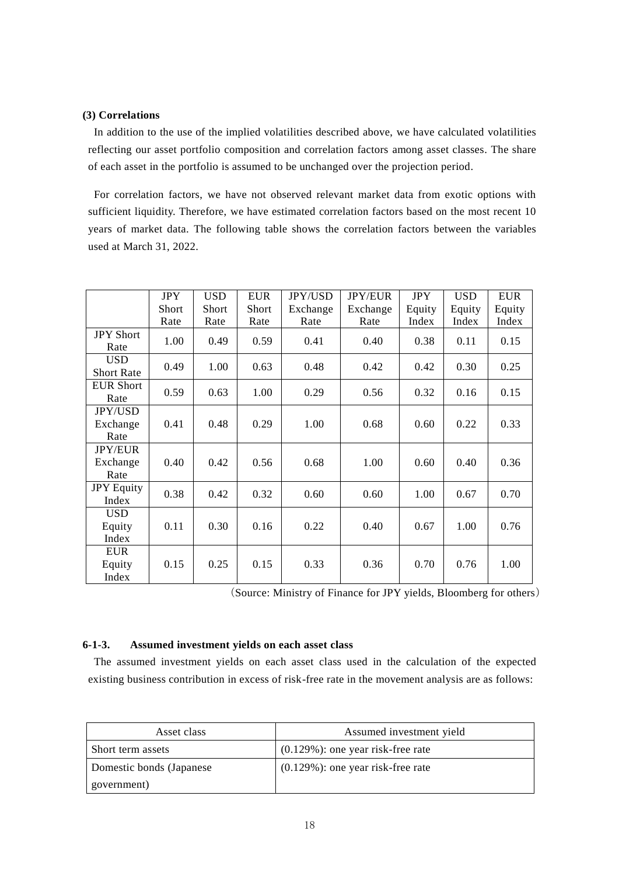## **(3) Correlations**

In addition to the use of the implied volatilities described above, we have calculated volatilities reflecting our asset portfolio composition and correlation factors among asset classes. The share of each asset in the portfolio is assumed to be unchanged over the projection period.

For correlation factors, we have not observed relevant market data from exotic options with sufficient liquidity. Therefore, we have estimated correlation factors based on the most recent 10 years of market data. The following table shows the correlation factors between the variables used at March 31, 2022.

|                                    | <b>JPY</b><br>Short | <b>USD</b><br>Short | <b>EUR</b><br><b>Short</b> | <b>JPY/USD</b><br>Exchange | <b>JPY/EUR</b><br>Exchange | <b>JPY</b><br>Equity | <b>USD</b><br>Equity | <b>EUR</b><br>Equity |
|------------------------------------|---------------------|---------------------|----------------------------|----------------------------|----------------------------|----------------------|----------------------|----------------------|
|                                    | Rate                | Rate                | Rate                       | Rate                       | Rate                       | Index                | Index                | Index                |
| <b>JPY Short</b><br>Rate           | 1.00                | 0.49                | 0.59                       | 0.41                       | 0.40                       | 0.38                 | 0.11                 | 0.15                 |
| <b>USD</b><br><b>Short Rate</b>    | 0.49                | 1.00                | 0.63                       | 0.48                       | 0.42                       | 0.42                 | 0.30                 | 0.25                 |
| <b>EUR Short</b><br>Rate           | 0.59                | 0.63                | 1.00                       | 0.29                       | 0.56                       | 0.32                 | 0.16                 | 0.15                 |
| <b>JPY/USD</b><br>Exchange<br>Rate | 0.41                | 0.48                | 0.29                       | 1.00                       | 0.68                       | 0.60                 | 0.22                 | 0.33                 |
| <b>JPY/EUR</b><br>Exchange<br>Rate | 0.40                | 0.42                | 0.56                       | 0.68                       | 1.00                       | 0.60                 | 0.40                 | 0.36                 |
| <b>JPY Equity</b><br>Index         | 0.38                | 0.42                | 0.32                       | 0.60                       | 0.60                       | 1.00                 | 0.67                 | 0.70                 |
| <b>USD</b><br>Equity<br>Index      | 0.11                | 0.30                | 0.16                       | 0.22                       | 0.40                       | 0.67                 | 1.00                 | 0.76                 |
| <b>EUR</b><br>Equity<br>Index      | 0.15                | 0.25                | 0.15                       | 0.33                       | 0.36                       | 0.70                 | 0.76                 | 1.00                 |

(Source: Ministry of Finance for JPY yields, Bloomberg for others)

### **6-1-3. Assumed investment yields on each asset class**

The assumed investment yields on each asset class used in the calculation of the expected existing business contribution in excess of risk-free rate in the movement analysis are as follows:

| Asset class              | Assumed investment yield              |  |
|--------------------------|---------------------------------------|--|
| Short term assets        | $(0.129\%)$ : one year risk-free rate |  |
| Domestic bonds (Japanese | $(0.129\%)$ : one year risk-free rate |  |
| government)              |                                       |  |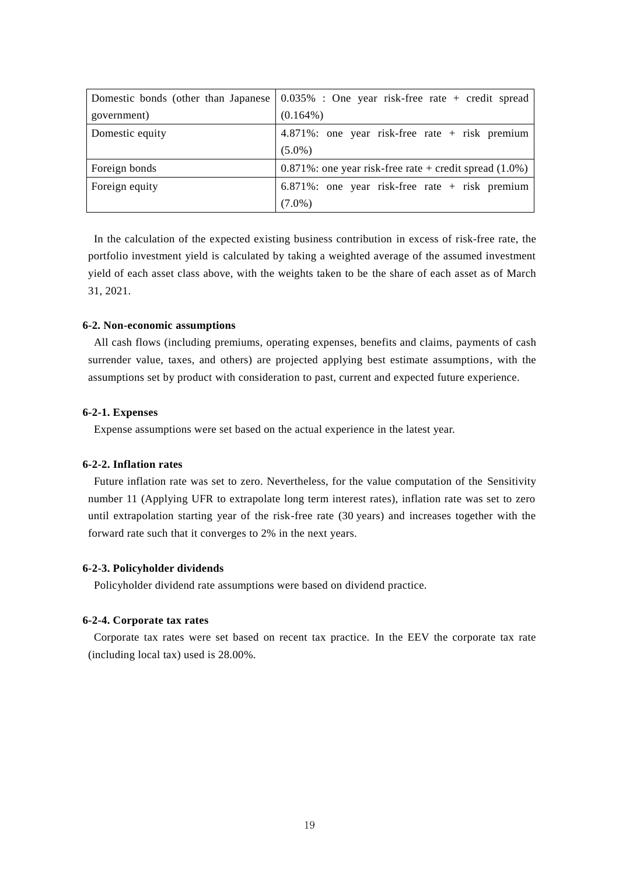|                 | Domestic bonds (other than Japanese $\vert 0.035\% \vert$ : One year risk-free rate + credit spread |
|-----------------|-----------------------------------------------------------------------------------------------------|
| government)     | $(0.164\%)$                                                                                         |
| Domestic equity | $4.871\%$ : one year risk-free rate + risk premium                                                  |
|                 | $(5.0\%)$                                                                                           |
| Foreign bonds   | $0.871\%$ : one year risk-free rate + credit spread $(1.0\%)$                                       |
| Foreign equity  | $6.871\%$ : one year risk-free rate + risk premium                                                  |
|                 | $(7.0\%)$                                                                                           |

In the calculation of the expected existing business contribution in excess of risk-free rate, the portfolio investment yield is calculated by taking a weighted average of the assumed investment yield of each asset class above, with the weights taken to be the share of each asset as of March 31, 2021.

#### **6-2. Non-economic assumptions**

All cash flows (including premiums, operating expenses, benefits and claims, payments of cash surrender value, taxes, and others) are projected applying best estimate assumptions, with the assumptions set by product with consideration to past, current and expected future experience.

#### **6-2-1. Expenses**

Expense assumptions were set based on the actual experience in the latest year.

### **6-2-2. Inflation rates**

Future inflation rate was set to zero. Nevertheless, for the value computation of the Sensitivity number 11 (Applying UFR to extrapolate long term interest rates), inflation rate was set to zero until extrapolation starting year of the risk-free rate (30 years) and increases together with the forward rate such that it converges to 2% in the next years.

# **6-2-3. Policyholder dividends**

Policyholder dividend rate assumptions were based on dividend practice.

#### **6-2-4. Corporate tax rates**

Corporate tax rates were set based on recent tax practice. In the EEV the corporate tax rate (including local tax) used is 28.00%.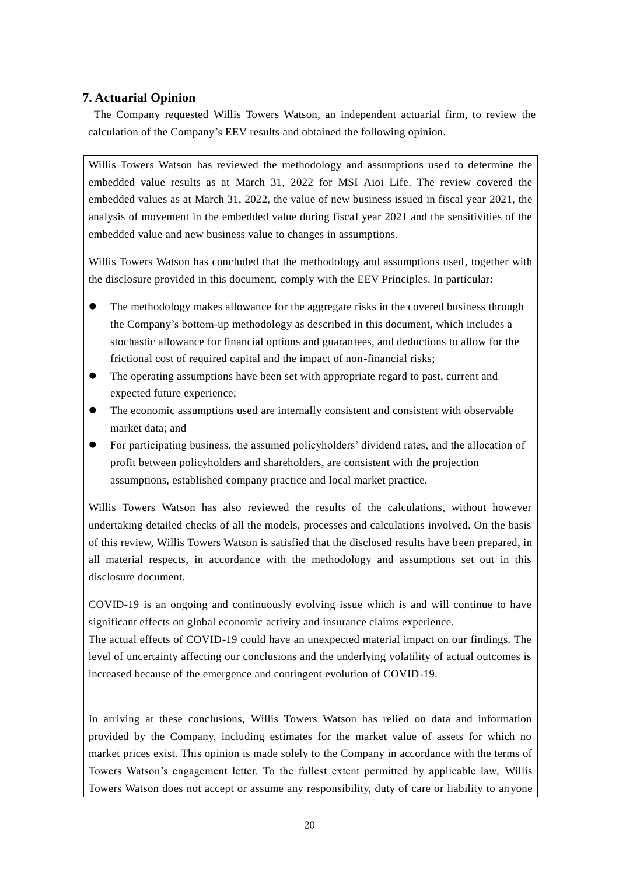# **7. Actuarial Opinion**

The Company requested Willis Towers Watson, an independent actuarial firm, to review the calculation of the Company's EEV results and obtained the following opinion.

Willis Towers Watson has reviewed the methodology and assumptions used to determine the embedded value results as at March 31, 2022 for MSI Aioi Life. The review covered the embedded values as at March 31, 2022, the value of new business issued in fiscal year 2021, the analysis of movement in the embedded value during fiscal year 2021 and the sensitivities of the embedded value and new business value to changes in assumptions.

Willis Towers Watson has concluded that the methodology and assumptions used, together with the disclosure provided in this document, comply with the EEV Principles. In particular:

- The methodology makes allowance for the aggregate risks in the covered business through the Company's bottom-up methodology as described in this document, which includes a stochastic allowance for financial options and guarantees, and deductions to allow for the frictional cost of required capital and the impact of non-financial risks;
- The operating assumptions have been set with appropriate regard to past, current and expected future experience;
- The economic assumptions used are internally consistent and consistent with observable market data; and
- For participating business, the assumed policyholders' dividend rates, and the allocation of profit between policyholders and shareholders, are consistent with the projection assumptions, established company practice and local market practice.

Willis Towers Watson has also reviewed the results of the calculations, without however undertaking detailed checks of all the models, processes and calculations involved. On the basis of this review, Willis Towers Watson is satisfied that the disclosed results have been prepared, in all material respects, in accordance with the methodology and assumptions set out in this disclosure document.

COVID-19 is an ongoing and continuously evolving issue which is and will continue to have significant effects on global economic activity and insurance claims experience.

The actual effects of COVID-19 could have an unexpected material impact on our findings. The level of uncertainty affecting our conclusions and the underlying volatility of actual outcomes is increased because of the emergence and contingent evolution of COVID-19.

In arriving at these conclusions, Willis Towers Watson has relied on data and information provided by the Company, including estimates for the market value of assets for which no market prices exist. This opinion is made solely to the Company in accordance with the terms of Towers Watson's engagement letter. To the fullest extent permitted by applicable law, Willis Towers Watson does not accept or assume any responsibility, duty of care or liability to an yone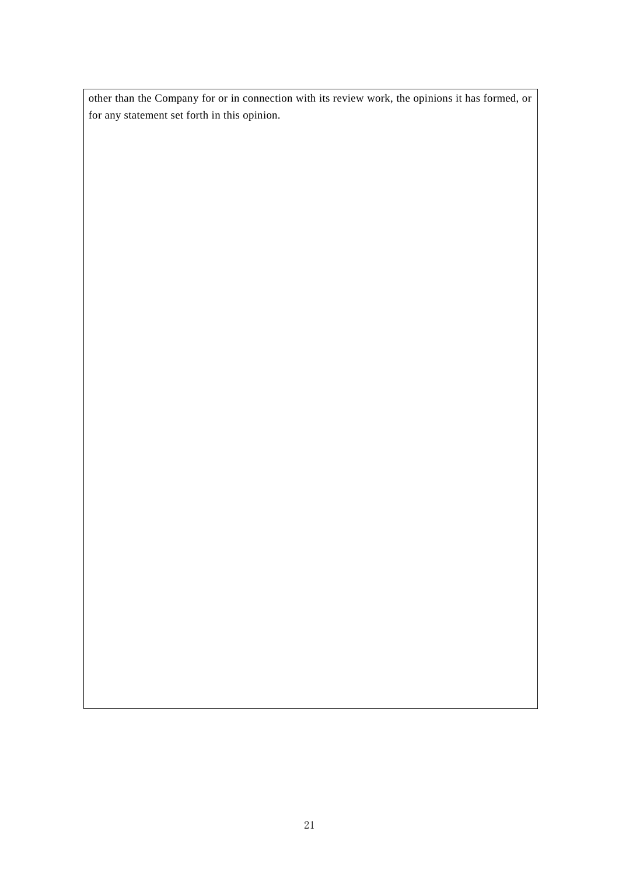other than the Company for or in connection with its review work, the opinions it has formed, or for any statement set forth in this opinion.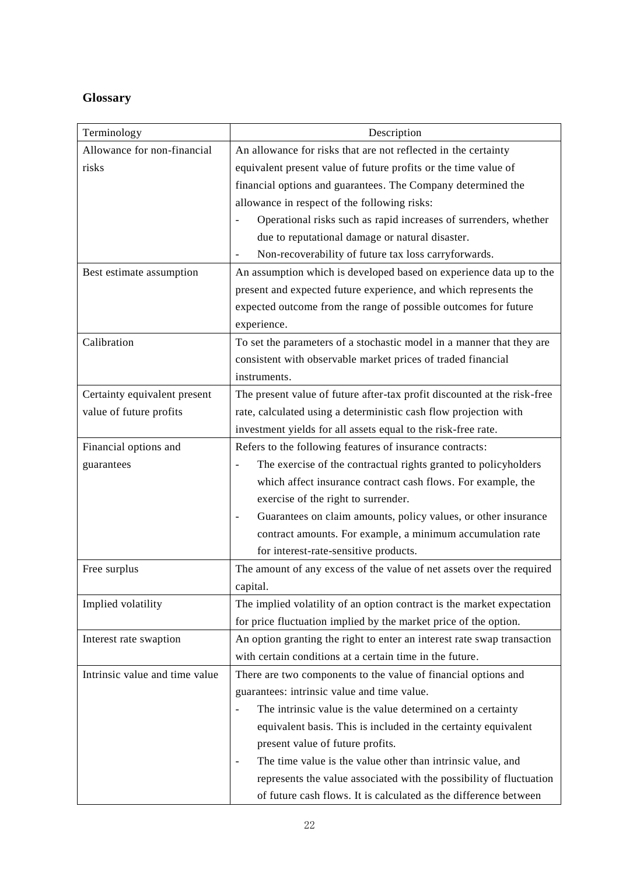# **Glossary**

| Terminology                    | Description                                                              |
|--------------------------------|--------------------------------------------------------------------------|
| Allowance for non-financial    | An allowance for risks that are not reflected in the certainty           |
| risks                          | equivalent present value of future profits or the time value of          |
|                                | financial options and guarantees. The Company determined the             |
|                                | allowance in respect of the following risks:                             |
|                                | Operational risks such as rapid increases of surrenders, whether         |
|                                | due to reputational damage or natural disaster.                          |
|                                | Non-recoverability of future tax loss carryforwards.                     |
| Best estimate assumption       | An assumption which is developed based on experience data up to the      |
|                                | present and expected future experience, and which represents the         |
|                                | expected outcome from the range of possible outcomes for future          |
|                                | experience.                                                              |
| Calibration                    | To set the parameters of a stochastic model in a manner that they are    |
|                                | consistent with observable market prices of traded financial             |
|                                | instruments.                                                             |
| Certainty equivalent present   | The present value of future after-tax profit discounted at the risk-free |
| value of future profits        | rate, calculated using a deterministic cash flow projection with         |
|                                | investment yields for all assets equal to the risk-free rate.            |
| Financial options and          | Refers to the following features of insurance contracts:                 |
| guarantees                     | The exercise of the contractual rights granted to policyholders          |
|                                | which affect insurance contract cash flows. For example, the             |
|                                | exercise of the right to surrender.                                      |
|                                | Guarantees on claim amounts, policy values, or other insurance           |
|                                | contract amounts. For example, a minimum accumulation rate               |
|                                | for interest-rate-sensitive products.                                    |
| Free surplus                   | The amount of any excess of the value of net assets over the required    |
|                                | capital.                                                                 |
| Implied volatility             | The implied volatility of an option contract is the market expectation   |
|                                | for price fluctuation implied by the market price of the option.         |
| Interest rate swaption         | An option granting the right to enter an interest rate swap transaction  |
|                                | with certain conditions at a certain time in the future.                 |
| Intrinsic value and time value | There are two components to the value of financial options and           |
|                                | guarantees: intrinsic value and time value.                              |
|                                | The intrinsic value is the value determined on a certainty               |
|                                | equivalent basis. This is included in the certainty equivalent           |
|                                | present value of future profits.                                         |
|                                | The time value is the value other than intrinsic value, and              |
|                                | represents the value associated with the possibility of fluctuation      |
|                                | of future cash flows. It is calculated as the difference between         |